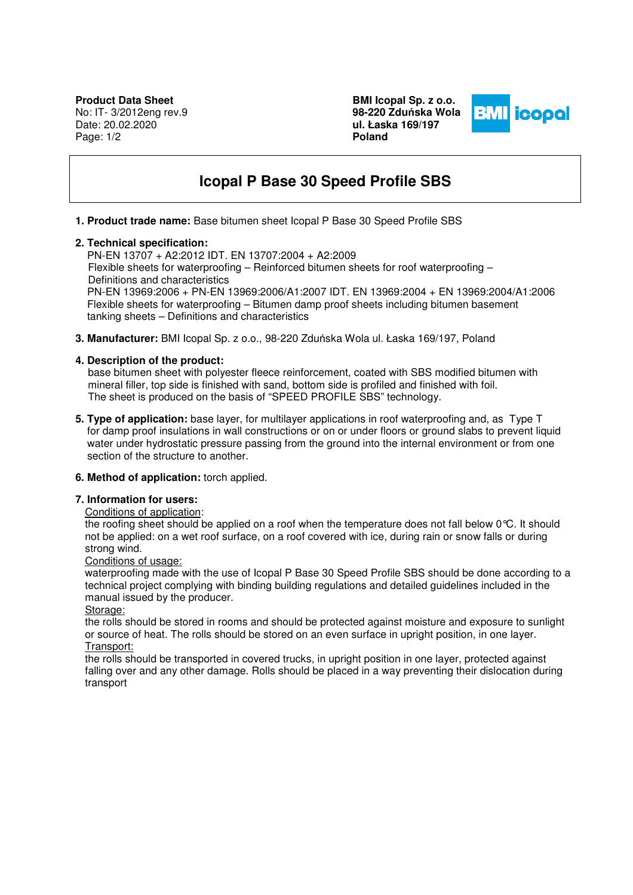No: IT- 3/2012eng rev.9 Date: 20.02.2020 Page: 1/2

**BMI Icopal Sp. z o.o. 98-220 Zdu**ń**ska Wola ul. Łaska 169/197 Poland** 



# **Icopal P Base 30 Speed Profile SBS**

### **1. Product trade name:** Base bitumen sheet Icopal P Base 30 Speed Profile SBS

### **2. Technical specification:**

 PN-EN 13707 + A2:2012 IDT. EN 13707:2004 + A2:2009 Flexible sheets for waterproofing – Reinforced bitumen sheets for roof waterproofing – Definitions and characteristics PN-EN 13969:2006 + PN-EN 13969:2006/A1:2007 IDT. EN 13969:2004 + EN 13969:2004/A1:2006 Flexible sheets for waterproofing – Bitumen damp proof sheets including bitumen basement

tanking sheets – Definitions and characteristics

**3. Manufacturer:** BMI Icopal Sp. z o.o., 98-220 Zduńska Wola ul. Łaska 169/197, Poland

## **4. Description of the product:**

 base bitumen sheet with polyester fleece reinforcement, coated with SBS modified bitumen with mineral filler, top side is finished with sand, bottom side is profiled and finished with foil. The sheet is produced on the basis of "SPEED PROFILE SBS" technology.

**5. Type of application:** base layer, for multilayer applications in roof waterproofing and, as Type T for damp proof insulations in wall constructions or on or under floors or ground slabs to prevent liquid water under hydrostatic pressure passing from the ground into the internal environment or from one section of the structure to another.

### **6. Method of application:** torch applied.

### **7. Information for users:**

### Conditions of application:

the roofing sheet should be applied on a roof when the temperature does not fall below 0°C. It should not be applied: on a wet roof surface, on a roof covered with ice, during rain or snow falls or during strong wind.

### Conditions of usage:

waterproofing made with the use of Icopal P Base 30 Speed Profile SBS should be done according to a technical project complying with binding building regulations and detailed guidelines included in the manual issued by the producer.

### Storage:

the rolls should be stored in rooms and should be protected against moisture and exposure to sunlight or source of heat. The rolls should be stored on an even surface in upright position, in one layer. Transport:

the rolls should be transported in covered trucks, in upright position in one layer, protected against falling over and any other damage. Rolls should be placed in a way preventing their dislocation during transport